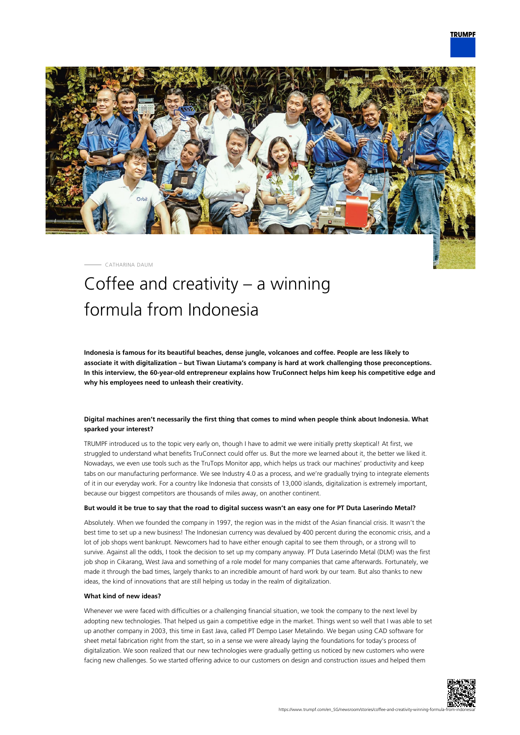

CATHARINA DAUM

# Coffee and creativity – a winning formula from Indonesia

**Indonesia is famous for its beautiful beaches, dense jungle, volcanoes and coffee. People are less likely to associate it with digitalization – but Tiwan Liutama's company is hard at work challenging those preconceptions. In this interview, the 60-year-old entrepreneur explains how TruConnect helps him keep his competitive edge and why his employees need to unleash their creativity.**

# **Digital machines aren't necessarily the first thing that comes to mind when people think about Indonesia. What sparked your interest?**

TRUMPF introduced us to the topic very early on, though I have to admit we were initially pretty skeptical! At first, we struggled to understand what benefits TruConnect could offer us. But the more we learned about it, the better we liked it. Nowadays, we even use tools such as the TruTops Monitor app, which helps us track our machines' productivity and keep tabs on our manufacturing performance. We see Industry 4.0 as a process, and we're gradually trying to integrate elements of it in our everyday work. For a country like Indonesia that consists of 13,000 islands, digitalization is extremely important, because our biggest competitors are thousands of miles away, on another continent.

#### **But would it be true to say that the road to digital success wasn't an easy one for PT Duta Laserindo Metal?**

Absolutely. When we founded the company in 1997, the region was in the midst of the Asian financial crisis. It wasn't the best time to set up a new business! The Indonesian currency was devalued by 400 percent during the economic crisis, and a lot of job shops went bankrupt. Newcomers had to have either enough capital to see them through, or a strong will to survive. Against all the odds, I took the decision to set up my company anyway. PT Duta Laserindo Metal (DLM) was the first job shop in Cikarang, West Java and something of a role model for many companies that came afterwards. Fortunately, we made it through the bad times, largely thanks to an incredible amount of hard work by our team. But also thanks to new ideas, the kind of innovations that are still helping us today in the realm of digitalization.

## **What kind of new ideas?**

Whenever we were faced with difficulties or a challenging financial situation, we took the company to the next level by adopting new technologies. That helped us gain a competitive edge in the market. Things went so well that I was able to set up another company in 2003, this time in East Java, called PT Dempo Laser Metalindo. We began using CAD software for sheet metal fabrication right from the start, so in a sense we were already laying the foundations for today's process of digitalization. We soon realized that our new technologies were gradually getting us noticed by new customers who were facing new challenges. So we started offering advice to our customers on design and construction issues and helped them

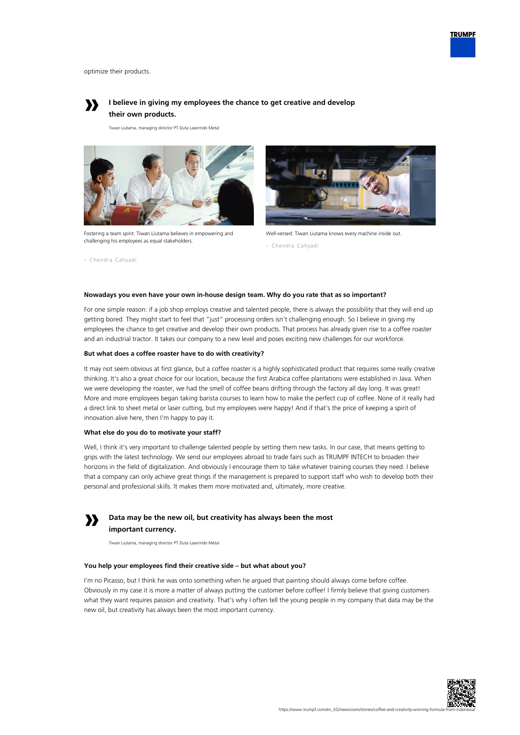

optimize their products.

– Chendra Cahyadi



# **I believe in giving my employees the chance to get creative and develop their own products.**

Tiwan Liutama, managing director PT Duta Laserindo Metal



Fostering a team spirit: Tiwan Liutama believes in empowering and challenging his employees as equal stakeholders.



Well-versed: Tiwan Liutama knows every machine inside out.

# **Nowadays you even have your own in-house design team. Why do you rate that as so important?**

For one simple reason: if a job shop employs creative and talented people, there is always the possibility that they will end up getting bored. They might start to feel that "just" processing orders isn't challenging enough. So I believe in giving my employees the chance to get creative and develop their own products. That process has already given rise to a coffee roaster and an industrial tractor. It takes our company to a new level and poses exciting new challenges for our workforce.

### **But what does a coffee roaster have to do with creativity?**

It may not seem obvious at first glance, but a coffee roaster is a highly sophisticated product that requires some really creative thinking. It's also a great choice for our location, because the first Arabica coffee plantations were established in Java. When we were developing the roaster, we had the smell of coffee beans drifting through the factory all day long. It was great! More and more employees began taking barista courses to learn how to make the perfect cup of coffee. None of it really had a direct link to sheet metal or laser cutting, but my employees were happy! And if that's the price of keeping a spirit of innovation alive here, then I'm happy to pay it.

## **What else do you do to motivate your staff?**

Well, I think it's very important to challenge talented people by setting them new tasks. In our case, that means getting to grips with the latest technology. We send our employees abroad to trade fairs such as TRUMPF INTECH to broaden their horizons in the field of digitalization. And obviously I encourage them to take whatever training courses they need. I believe that a company can only achieve great things if the management is prepared to support staff who wish to develop both their personal and professional skills. It makes them more motivated and, ultimately, more creative.



**Data may be the new oil, but creativity has always been the most important currency.**

Tiwan Liutama, managing director PT Duta Laserindo Metal

## **You help your employees find their creative side – but what about you?**

I'm no Picasso, but I think he was onto something when he argued that painting should always come before coffee. Obviously in my case it is more a matter of always putting the customer before coffee! I firmly believe that giving customers what they want requires passion and creativity. That's why I often tell the young people in my company that data may be the new oil, but creativity has always been the most important currency.



<sup>–</sup> Chendra Cahyadi